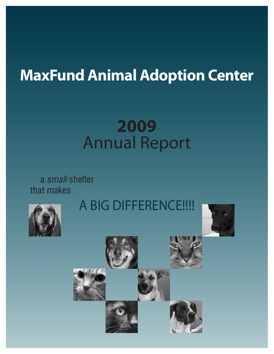## **MaxFund Animal Adoption Center**

# **2009** Annual Report

a *small* shelter that makes







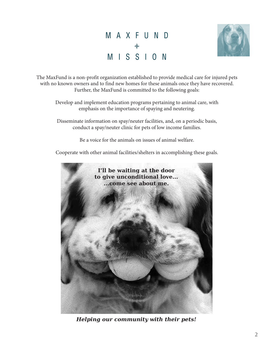## M A X F U N D ♦ M I S S I O N



The MaxFund is a non-profit organization established to provide medical care for injured pets with no known owners and to find new homes for these animals once they have recovered. Further, the MaxFund is committed to the following goals:

Develop and implement education programs pertaining to animal care, with emphasis on the importance of spaying and neutering.

Disseminate information on spay/neuter facilities, and, on a periodic basis, conduct a spay/neuter clinic for pets of low income families.

Be a voice for the animals on issues of animal welfare.

Cooperate with other animal facilities/shelters in accomplishing these goals.



*Helping our community with their pets!*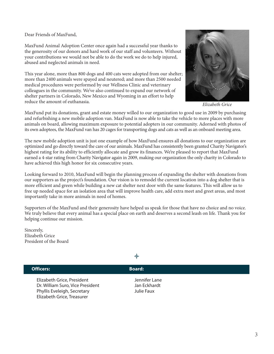Dear Friends of MaxFund,

MaxFund Animal Adoption Center once again had a successful year thanks to the generosity of our donors and hard work of our staff and volunteers. Without your contributions we would not be able to do the work we do to help injured, abused and neglected animals in need.

This year alone, more than 800 dogs and 400 cats were adopted from our shelter; more than 2400 animals were spayed and neutered; and more than 2500 needed medical procedures were performed by our Wellness Clinic and veterinary colleagues in the community. We've also continued to expand our network of shelter partners in Colorado, New Mexico and Wyoming in an effort to help reduce the amount of euthanasia.



*Elizabeth Grice*

MaxFund put its donations, grant and estate money willed to our organization to good use in 2009 by purchasing and refurbishing a new mobile adoption van. MaxFund is now able to take the vehicle to more places with more animals on board, allowing maximum exposure to potential adopters in our community. Adorned with photos of its own adoptees, the MaxFund van has 20 cages for transporting dogs and cats as well as an onboard meeting area.

The new mobile adoption unit is just one example of how MaxFund ensures all donations to our organization are optimized and go directly toward the care of our animals. MaxFund has consistently been granted Charity Navigator's highest rating for its ability to efficiently allocate and grow its finances. We're pleased to report that MaxFund earned a 4-star rating from Charity Navigator again in 2009, making our organization the only charity in Colorado to have achieved this high honor for six consecutive years.

Looking forward to 2010, MaxFund will begin the planning process of expanding the shelter with donations from our supporters as the project's foundation. Our vision is to remodel the current location into a dog shelter that is more efficient and green while building a new cat shelter next door with the same features. This will allow us to free up needed space for an isolation area that will improve health care, add extra meet and greet areas, and most importantly take in more animals in need of homes.

Supporters of the MaxFund and their generosity have helped us speak for those that have no choice and no voice. We truly believe that every animal has a special place on earth and deserves a second leash on life. Thank you for helping continue our mission.

Sincerely, Elizabeth Grice President of the Board

#### **Officers: Board: Officers: Board:**

Elizabeth Grice, President and Tennifer Lane Dr. William Suro, Vice President Jan Eckhardt Phyllis Eveleigh, Secretary Julie Faux Elizabeth Grice, Treasurer

♦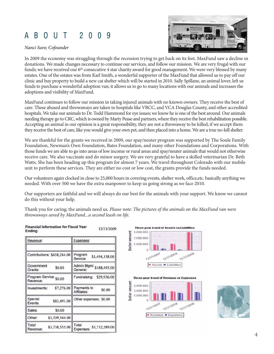#### A B O U T 2 0 0 9

#### *Nanci Suro; Cofounder*



In 2009 the economy was struggling through the recession trying to get back on its feet. MaxFund saw a decline in donations. We made changes necessary to continue our services, and follow our mission. We are very frugal with our funds; we have received our 6<sup>th</sup> consecutive 4 star charity award for good management. We were very blessed by many estates. One of the estates was from Karl Smith, a wonderful supporter of the MaxFund that allowed us to pay off our clinic and buy property to build a new cat shelter which will be started in 2010. Sally Spillane, an animal lover, left us funds to purchase a wonderful adoption van; it allows us to go to many locations with our animals and increases the adoptions and visibility of MaxFund.

MaxFund continues to follow our mission in taking injured animals with no known owners. They receive the best of care. These abused and throwaways are taken to hospitals like VRCC, and VCA Douglas County, and other accredited hospitals. We take our animals to Dr. Todd Hammond for eye issues; we know he is one of the best around. Our animals needing therapy go to CRC, which is owned by Marty Pease and partners, where they receive the best rehabilitation possible. Accepting an animal in our opinion is a great responsibility, they are not a throwaway to be killed; if we accept them they receive the best of care, like you would give your own pet, and then placed into a home. We are a true no-kill shelter.

We are thankful for the grants we received in 2009, our spay/neuter program was supported by The Soule Family Foundation, Newman's Own Foundation, Bates Foundation, and many other Foundations and Corporations. With those funds we are able to go into areas of low income or rural areas and spay/neuter animals that would not otherwise receive care. We also vaccinate and do minor surgery. We are very grateful to have a skilled veterinarian Dr. Beth Watts. She has been heading up this program for almost 7 years. We travel throughout Colorado with our mobile unit to perform these services. They are either no cost or low cost, the grants provide the funds needed.

Our volunteers again clocked in close to 25,000 hours in covering events, shelter work, office,etc. basically anything we needed. With over 500 we have the extra manpower to keep us going strong as we face 2010.

Our supporters are faithful and we will always do our best for the animals with your support. We know we cannot do this without your help.

Thank you for caring; the animals need us. *Please note: The pictures of the animals on the MaxFund van were throwaways saved by MaxFund...a second leash on life.*

| Revenue:                            | Expenses:                             |
|-------------------------------------|---------------------------------------|
| Contributions: \$438,244.00         | Program<br>\$1,494,158.00<br>Service: |
| Government<br>\$0.00<br>Grants:     | Admin Mgmt \$188,495.00<br>General:   |
| Program Service \$0.00<br>Revenue:  | Fundraising:<br>\$29,936.00           |
| \$7,276.00<br>Investments:          | Payments to<br>\$0.00<br>Affiliates:  |
| Special<br>\$83,491.00<br>Events:   | Other expenses: \$0.00                |
| Sales:<br>\$0.00                    |                                       |
| \$3,209,544.00<br>Other:            |                                       |
| Total<br>\$3,738,555.00<br>Revenue: | Total<br>Expenses: \$1,712,589.00     |



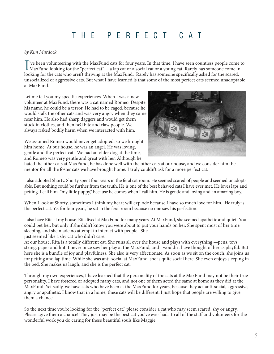### T H E P E R F E C T C A T

#### *by Kim Murdock*

I've been volunteering with the MaxFund cats for four years. In that time, I have seen countless people come<br>MaxFund looking for the "perfect cat" —a lap cat or a social cat or a young cat. Rarely has someone come in<br>looki 've been volunteering with the MaxFund cats for four years. In that time, I have seen countless people come to looking for the cats who aren't thriving at the MaxFund. Rarely has someone specifically asked for the scared, unsocialized or aggressive cats. But what I have learned is that some of the most perfect cats seemed unadoptable at MaxFund.

Let me tell you my specific experiences. When I was a new volunteer at MaxFund, there was a cat named Romeo. Despite his name, he could be a terror. He had to be caged, because he would stalk the other cats and was very angry when they came near him. He also had sharp daggers and would get them stuck in clothes, and then he'd bite and claw people. We always risked bodily harm when we interacted with him.

We assumed Romeo would never get adopted, so we brought him home. At our house, he was an angel. He was loving, gentle and the perfect cat. We had an older dog at the time, and Romeo was very gentle and great with her. Although he



hated the other cats at MaxFund, he has done well with the other cats at our house, and we consider him the mentor for all the foster cats we have brought home. I truly couldn't ask for a more perfect cat.

I also adopted Shorty. Shorty spent four years in the feral cat room. He seemed scared of people and seemed unadoptable. But nothing could be further from the truth. He is one of the best behaved cats I have ever met. He loves laps and petting. I call him "my little puppy," because he comes when I call him. He is gentle and loving and an amazing boy.

When I look at Shorty, sometimes I think my heart will explode because I have so much love for him. He truly is the perfect cat. Yet for four years, he sat in the feral room because no one saw his perfection.

I also have Rita at my house. Rita lived at MaxFund for many years. At MaxFund, she seemed apathetic and quiet. You could pet her, but only if she didn't know you were about to put your hands on her. She spent most of her time sleeping, and she made no attempt to interact with people. She just seemed like a shy cat who didn't care.

At our house, Rita is a totally different cat. She runs all over the house and plays with everything —pens, toys, string, paper and lint. I never once saw her play at the MaxFund, and I wouldn't have thought of her as playful. But here she is a bundle of joy and playfulness. She also is very affectionate. As soon as we sit on the couch, she joins us for petting and lap time. While she was anti-social at MaxFund, she is quite social here. She even enjoys sleeping in the bed. She makes us laugh, and she is the perfect cat.

Through my own experiences, I have learned that the personality of the cats at the MaxFund may not be their true personality. I have fostered or adopted many cats, and not one of them acted the same at home as they did at the MaxFund. Yet sadly, we have cats who have been at the MaxFund for years, because they act anti-social, aggressive, angry or apathetic. I know that in a home, these cats will be different. I just hope that people are willing to give them a chance.

So the next time you're looking for the "perfect cat," please consider a cat who may seem scared, shy or angry. Please...give them a chance! They just may be the best cat you've ever had. to all of the staff and volunteers for the wonderful work you do caring for these beautiful souls like Maggie.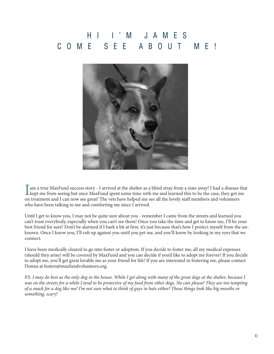## H I I ' M J A M E S C O M E S E E A B O U T M E !



I am a true MaxFund success story - I arrived at the shelter as a blind stray from a state away! I had a disease the kept me from seeing but once MaxFund spent some time with me and learned this to be the case, they got me am a true MaxFund success story - I arrived at the shelter as a blind stray from a state away! I had a disease that on treatment and I can now see great! The vets have helped me see all the lovely staff members and volunteers who have been talking to me and comforting me since I arrived.

Until I get to know you, I may not be quite sure about you - remember I came from the streets and learned you can't trust everybody, especially when you can't see them! Once you take the time and get to know me, I'll be your best friend for sure! Don't be alarmed if I bark a bit at first, it's just because that's how I protect myself from the unknown. Once I know you, I'll rub up against you until you pet me, and you'll know by looking in my eyes that we connect.

I have been medically cleared to go into foster or adoption. If you decide to foster me, all my medical expenses (should they arise) will be covered by MaxFund and you can decide if you'd like to adopt me forever! If you decide to adopt me, you'll get great lovable me as your friend for life! If you are interested in fostering me, please contact Donna at fosters@maxfundvolunteers.org.

*P.S. I may do best as the only dog in the house. While I get along with many of the great dogs at the shelter, because I was on the streets for a while I tend to be protective of my food from other dogs. No cats please! They are too tempting of a snack for a dog like me! I'm not sure what to think of guys in hats either! Those things look like big mouths or something, scary!*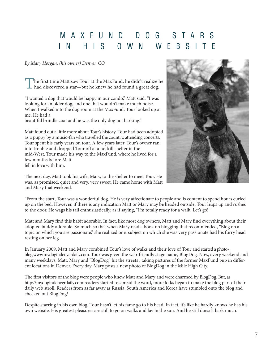### M A X F U N D D O G S T A R S IN HIS OWN WEBSIT

*By Mary Horgan, (his owner) Denver, CO*

The first time Matt saw Tour at the MaxFund, he didn't realize he had discovered a star—but he knew he had found a great dog.

"I wanted a dog that would be happy in our condo," Matt said. "I was looking for an older dog, and one that wouldn't make much noise. When I walked into the dog room at the MaxFund, Tour looked up at me. He had a

beautiful brindle coat and he was the only dog not barking."

Matt found out a little more about Tour's history. Tour had been adopted as a puppy by a music-fan who travelled the country, attending concerts. Tour spent his early years on tour. A few years later, Tour's owner ran into trouble and dropped Tour off at a no-kill shelter in the mid-West. Tour made his way to the MaxFund, where he lived for a few months before Matt

fell in love with him.



The next day, Matt took his wife, Mary, to the shelter to meet Tour. He was, as promised, quiet and very, very sweet. He came home with Matt and Mary that weekend.

"From the start, Tour was a wonderful dog. He is very affectionate to people and is content to spend hours curled up on the bed. However, if there is any indication Matt or Mary may be headed outside, Tour leaps up and rushes to the door. He wags his tail enthusiastically, as if saying, "I'm totally ready for a walk. Let's go!"

Matt and Mary find this habit adorable. In fact, like most dog owners, Matt and Mary find everything about their adopted buddy adorable. So much so that when Mary read a book on blogging that recommended, "Blog on a topic on which you are passionate," she realized one subject on which she was very passionate had his furry head resting on her leg.

In January 2009, Matt and Mary combined Tour's love of walks and their love of Tour and started a photoblog,www.mydogindenverdaily.com. Tour was given the web-friendly stage name, BlogDog. Now, every weekend and many weekdays, Matt, Mary and "BlogDog" hit the streets , taking pictures of the former MaxFund pup in different locations in Denver. Every day, Mary posts a new photo of BlogDog in the Mile High City.

The first visitors of the blog were people who knew Matt and Mary and were charmed by BlogDog. But, as http://mydogindenverdaily.com readers started to spread the word, more folks began to make the blog part of their daily web stroll. Readers from as far away as Russia, South America and Korea have stumbled onto the blog and checked out BlogDog!

Despite starring in his own blog, Tour hasn't let his fame go to his head. In fact, it's like he hardly knows he has his own website. His greatest pleasures are still to go on walks and lay in the sun. And he still doesn't bark much.